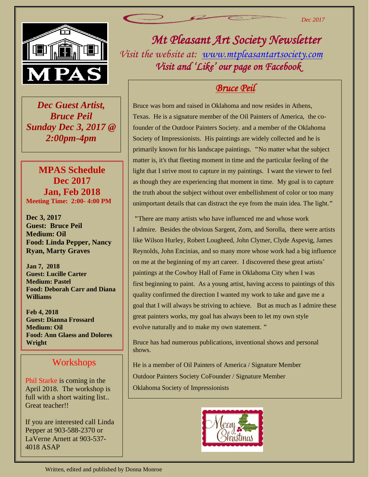

 *Dec Guest Artist, Bruce Peil Sunday Dec 3, 2017 @ 2:00pm-4pm*

**MPAS Schedule Dec 2017 Jan, Feb 2018 Meeting Time: 2:00- 4:00 PM**

**Dec 3, 2017 Guest: Bruce Peil Medium: Oil Food: Linda Pepper, Nancy Ryan, Marty Graves**

**Jan 7, 2018 Guest: Lucille Carter Medium: Pastel Food: Deborah Carr and Diana Williams**

**Feb 4, 2018 Guest: Dianna Frossard Medium: Oil Food: Ann Glaess and Dolores Wright**

### Workshops

Phil Starke is coming in the April 2018. The workshop is full with a short waiting list.. Great teacher!!

If you are interested call Linda Pepper at 903-588-2370 or LaVerne Arnett at 903-537- 4018 ASAP

*Mt Pleasant Art Society Newsletter Visit the website at: [www.mtpleasantartsociety.com](http://www.mtpleasantartsociety.com/) Visit and 'Like' our page on Facebook* 

# *Bruce Peil*

Bruce was born and raised in Oklahoma and now resides in Athens, Texas. He is a signature member of the Oil Painters of America, the cofounder of the Outdoor Painters Society. and a member of the Oklahoma Society of Impressionists. His paintings are widely collected and he is primarily known for his landscape paintings. **"**No matter what the subject matter is, it's that fleeting moment in time and the particular feeling of the light that I strive most to capture in my paintings. I want the viewer to feel as though they are experiencing that moment in time. My goal is to capture the truth about the subject without over embellishment of color or too many unimportant details that can distract the eye from the main idea. The light.**"**

**"**There are many artists who have influenced me and whose work I admire. Besides the obvious Sargent, Zorn, and Sorolla, there were artists like Wilson Hurley, Robert Lougheed, John Clymer, Clyde Aspevig, James Reynolds, John Encinias, and so many more whose work had a big influence on me at the beginning of my art career. I discovered these great artists' paintings at the Cowboy Hall of Fame in Oklahoma City when I was first beginning to paint. As a young artist, having access to paintings of this quality confirmed the direction I wanted my work to take and gave me a goal that I will always be striving to achieve. But as much as I admire these great painters works, my goal has always been to let my own style evolve naturally and to make my own statement. **"**

Bruce has had numerous publications, inventional shows and personal shows.

He is a member of Oil Painters of America / Signature Member Outdoor Painters Society CoFounder / Signature Member Oklahoma Society of Impressionists